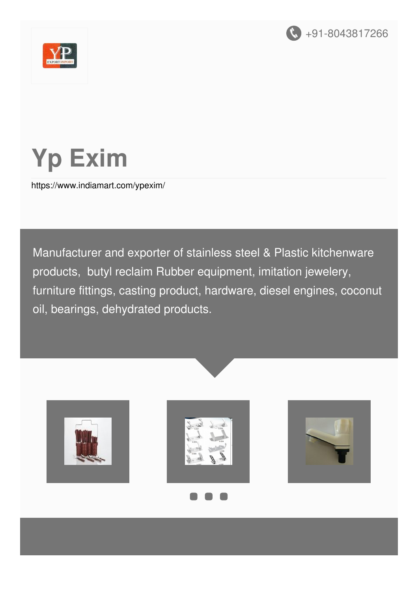



# **Yp Exim**

<https://www.indiamart.com/ypexim/>

Manufacturer and exporter of stainless steel & Plastic kitchenware products, butyl reclaim Rubber equipment, imitation jewelery, furniture fittings, casting product, hardware, diesel engines, coconut oil, bearings, dehydrated products.







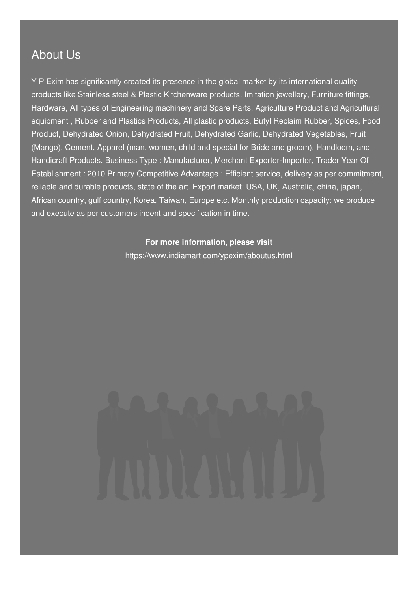#### About Us

Y P Exim has significantly created its presence in the global market by its international quality products like Stainless steel & Plastic Kitchenware products, Imitation jewellery, Furniture fittings, Hardware, All types of Engineering machinery and Spare Parts, Agriculture Product and Agricultural equipment , Rubber and Plastics Products, All plastic products, Butyl Reclaim Rubber, Spices, Food Product, Dehydrated Onion, Dehydrated Fruit, Dehydrated Garlic, Dehydrated Vegetables, Fruit (Mango), Cement, Apparel (man, women, child and special for Bride and groom), Handloom, and Handicraft Products. Business Type : Manufacturer, Merchant Exporter-Importer, Trader Year Of Establishment : 2010 Primary Competitive Advantage : Efficient service, delivery as per commitment, reliable and durable products, state of the art. Export market: USA, UK, Australia, china, japan, African country, gulf country, Korea, Taiwan, Europe etc. Monthly production capacity: we produce and execute as per customers indent and specification in time.

#### **For more information, please visit**

<https://www.indiamart.com/ypexim/aboutus.html>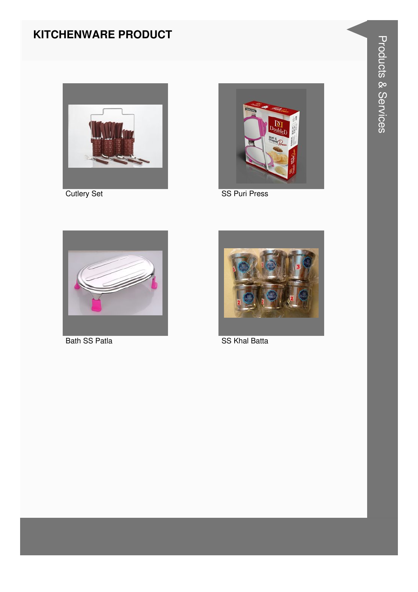#### **KITCHENWARE PRODUCT**



**Cutlery Set** 



SS Puri Press



**Bath SS Patla** 



**SS Khal Batta**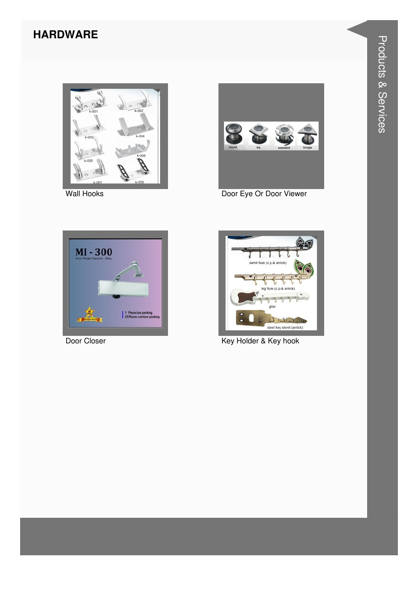#### **HARDWARE**



Wall Hooks



Door Eye Or Door Viewer



Door Closer



Key Holder & Key hook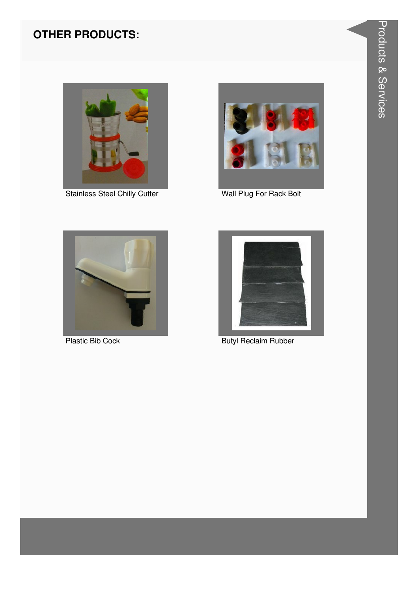#### **OTHER PRODUCTS:**



Stainless Steel Chilly Cutter



Wall Plug For Rack Bolt



**Plastic Bib Cock** 



**Butyl Reclaim Rubber**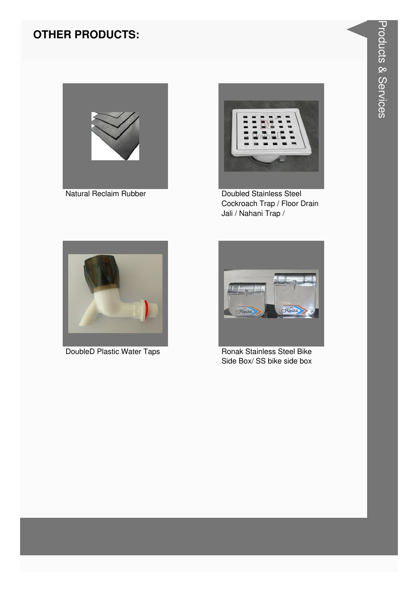#### **OTHER PRODUCTS:**





**Doubled Stainless Steel** Cockroach Trap / Floor Drain Jali / Nahani Trap /



DoubleD Plastic Water Taps



**Ronak Stainless Steel Bike** Side Box/ SS bike side box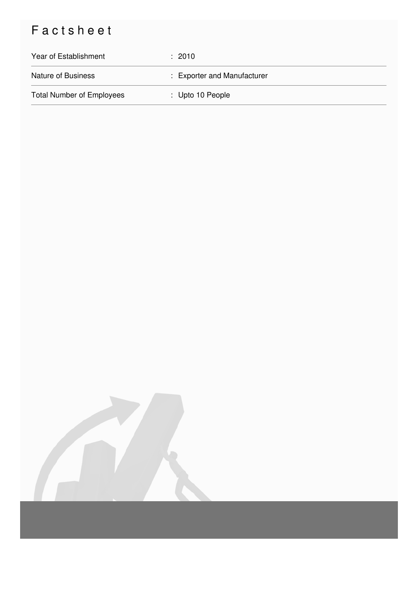## Factsheet

| Year of Establishment            | : 2010                      |
|----------------------------------|-----------------------------|
| <b>Nature of Business</b>        | : Exporter and Manufacturer |
| <b>Total Number of Employees</b> | : Upto 10 People            |